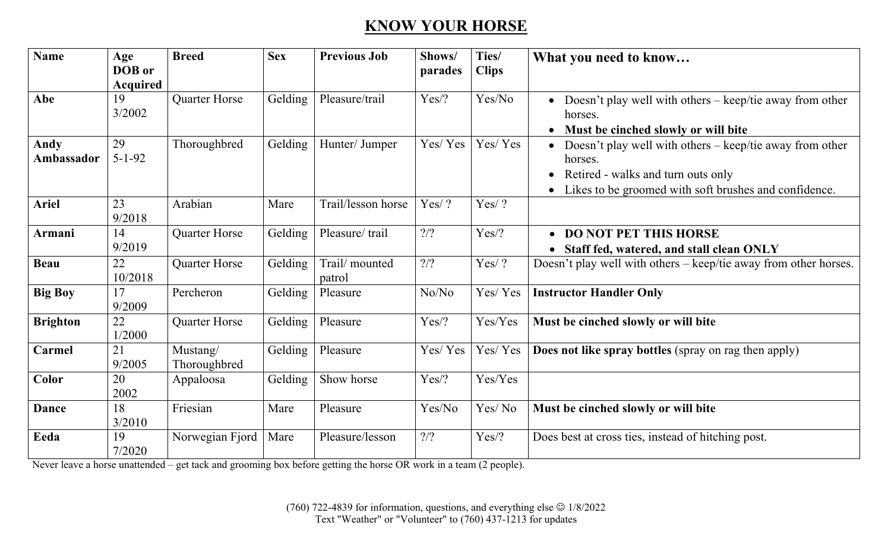## **KNOW YOUR HORSE**

| <b>Name</b>     | Age<br>DOB or   | <b>Breed</b>    | <b>Sex</b> | <b>Previous Job</b> | Shows/<br>parades | Ties/<br><b>Clips</b> | What you need to know                                                 |
|-----------------|-----------------|-----------------|------------|---------------------|-------------------|-----------------------|-----------------------------------------------------------------------|
|                 | <b>Acquired</b> |                 |            |                     |                   |                       |                                                                       |
| Abe             | 19              | Quarter Horse   | Gelding    | Pleasure/trail      | Yes/?             | Yes/No                | Doesn't play well with others – keep/tie away from other<br>$\bullet$ |
|                 | 3/2002          |                 |            |                     |                   |                       | horses.                                                               |
|                 |                 |                 |            |                     |                   |                       | • Must be cinched slowly or will bite                                 |
| Andy            | 29              | Thoroughbred    | Gelding    | Hunter/ Jumper      | Yes/Yes           | Yes/Yes               | Doesn't play well with others – keep/tie away from other              |
| Ambassador      | $5 - 1 - 92$    |                 |            |                     |                   |                       | horses.                                                               |
|                 |                 |                 |            |                     |                   |                       | Retired - walks and turn outs only                                    |
|                 |                 |                 |            |                     |                   |                       | Likes to be groomed with soft brushes and confidence.<br>$\bullet$    |
| <b>Ariel</b>    | 23              | Arabian         | Mare       | Trail/lesson horse  | Yes/?             | Yes/?                 |                                                                       |
|                 | 9/2018          |                 |            |                     |                   |                       |                                                                       |
| Armani          | 14              | Quarter Horse   | Gelding    | Pleasure/trail      | $?$ /?            | $Yes$ ?               | • DO NOT PET THIS HORSE                                               |
|                 | 9/2019          |                 |            |                     |                   |                       | • Staff fed, watered, and stall clean ONLY                            |
| <b>Beau</b>     | 22              | Quarter Horse   | Gelding    | Trail/mounted       | $?$ /?            | Yes/?                 | Doesn't play well with others – keep/tie away from other horses.      |
|                 | 10/2018         |                 |            | patrol              |                   |                       |                                                                       |
| <b>Big Boy</b>  | 17              | Percheron       | Gelding    | Pleasure            | No/No             | Yes/Yes               | <b>Instructor Handler Only</b>                                        |
|                 | 9/2009          |                 |            |                     |                   |                       |                                                                       |
| <b>Brighton</b> | 22              | Quarter Horse   | Gelding    | Pleasure            | Yes/?             | Yes/Yes               | Must be cinched slowly or will bite                                   |
|                 | 1/2000          |                 |            |                     |                   |                       |                                                                       |
| Carmel          | 21              | Mustang/        | Gelding    | Pleasure            | Yes/Yes           | Yes/Yes               | Does not like spray bottles (spray on rag then apply)                 |
|                 | 9/2005          | Thoroughbred    |            |                     |                   |                       |                                                                       |
| Color           | 20              | Appaloosa       | Gelding    | Show horse          | $Yes$ ?           | Yes/Yes               |                                                                       |
|                 | 2002            |                 |            |                     |                   |                       |                                                                       |
| <b>Dance</b>    | 18              | Friesian        | Mare       | Pleasure            | Yes/No            | Yes/No                | Must be cinched slowly or will bite                                   |
|                 | 3/2010          |                 |            |                     |                   |                       |                                                                       |
| Eeda            | 19              | Norwegian Fjord | Mare       | Pleasure/lesson     | $?$ /?            | Yes/?                 | Does best at cross ties, instead of hitching post.                    |
|                 | 7/2020          |                 |            |                     |                   |                       |                                                                       |

Never leave a horse unattended – get tack and grooming box before getting the horse OR work in a team (2 people).